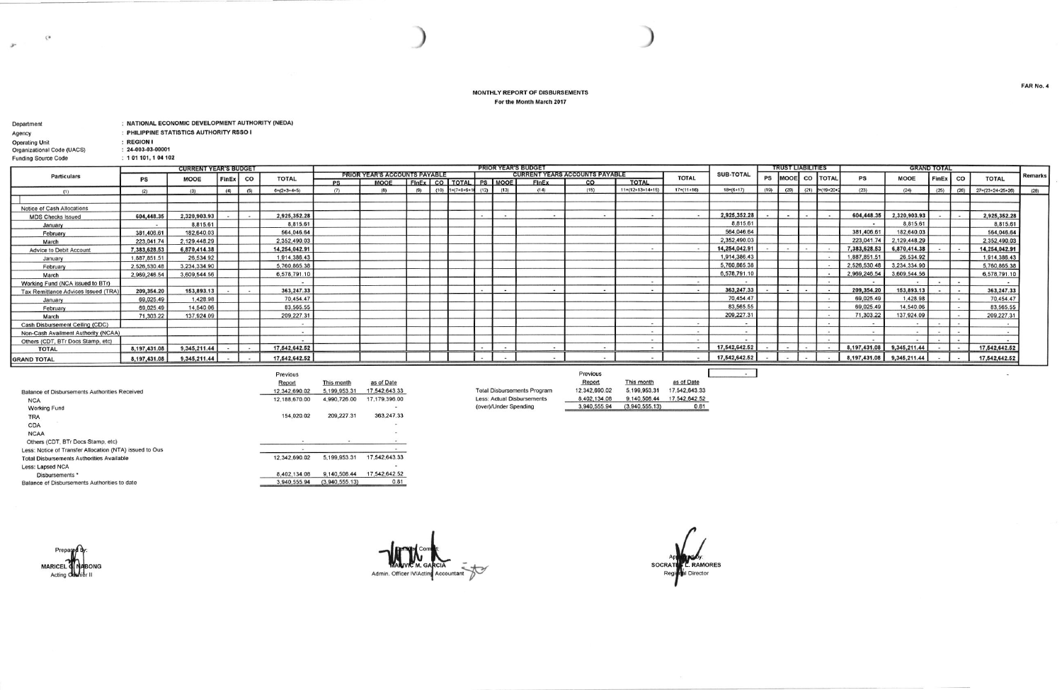## MONTHLY REPORT OF DISBURSEMENTS For the Month March 2017

| Department                 | NATIONAL ECONOMIC DEVELOPMENT AUTHORITY (NEDA) |
|----------------------------|------------------------------------------------|
| Agency                     | : PHILIPPINE STATISTICS AUTHORITY RSSO I       |
| <b>Operating Unit</b>      | : REGION I                                     |
| Organizational Code (UACS) | $: 24 - 003 - 03 - 00001$                      |
| <b>Funding Source Code</b> | : 101101, 104102                               |

 $\zeta^a$ 

 $\mathcal{P}^{\star}$ 

|                                     |                | <b>CURRENT YEAR'S BUDGET</b> |       |     |               | <b>PRIOR YEAR'S BUDGET</b> |                                      |     |  |                        |      |      |              | <b>TRUST LIABILITIES</b>       |                            |                          |                  | <b>GRAND TOTAL</b> |        |                |                     |              |              |          |      |                            |                |
|-------------------------------------|----------------|------------------------------|-------|-----|---------------|----------------------------|--------------------------------------|-----|--|------------------------|------|------|--------------|--------------------------------|----------------------------|--------------------------|------------------|--------------------|--------|----------------|---------------------|--------------|--------------|----------|------|----------------------------|----------------|
| <b>Particulars</b>                  | PS             | <b>MOOE</b>                  | FinEx | co  | <b>TOTAL</b>  |                            | <b>PRIOR YEAR'S ACCOUNTS PAYABLE</b> |     |  |                        |      |      |              | GURRENT YEARS ACCOUNTS PAYABLE |                            | <b>TOTAL</b>             | <b>SUB-TOTAL</b> |                    |        |                | PS MOOE CO TOTAL    | PS           | <b>MOOE</b>  | FinEx CO |      | <b>TOTAL</b>               | <b>Remarks</b> |
|                                     |                |                              |       |     |               | DS                         | <b>MOOE</b>                          |     |  | FINEX CO TOTAL PS MOOE |      |      | <b>FinEx</b> | $\sim$                         | <b>TOTAL</b>               |                          |                  |                    |        |                |                     |              |              |          |      |                            |                |
| (1)                                 | (2)            | (3)                          | (4)   | (5) | $6=(2+3+4+5)$ |                            | (R)                                  | (9) |  | $(10)$ $1=(7+8+9+1)$   | (12) | (13) | (14)         | (15)                           | $11 = (12 + 13 + 14 + 15)$ | $17= (11+16)$            | $18=(6+17)$      | (19)               | (20)   | (21)           | $P = (19 + 20 + 3)$ | (23)         | (24)         | (25)     | (26) | $27 = (23 + 24 + 25 + 26)$ | (28)           |
|                                     |                |                              |       |     |               |                            |                                      |     |  |                        |      |      |              |                                |                            |                          |                  |                    |        |                |                     |              |              |          |      |                            |                |
| Notice of Cash Allocations          |                |                              |       |     |               |                            |                                      |     |  |                        |      |      |              |                                |                            |                          |                  |                    |        |                |                     |              |              |          |      |                            |                |
| <b>MDS Checks Issued</b>            | 604,448.35     | 2,320,903.93                 |       |     | 2,925,352.28  |                            |                                      |     |  |                        |      |      |              |                                |                            |                          | 2,925,352.28     |                    |        |                |                     | 604,448.35   | 2,320,903.93 |          |      | 2,925,352.28               |                |
| January                             | $\overline{a}$ | 8,815.61                     |       |     | 8,815.61      |                            |                                      |     |  |                        |      |      |              |                                |                            |                          | 8,815.6          |                    |        |                |                     | $\sim$       | 8,815.61     |          |      | 8,815.61                   |                |
| February                            | 381,406.61     | 182,640.03                   |       |     | 564,046.64    |                            |                                      |     |  |                        |      |      |              |                                |                            |                          | 564,046.64       |                    |        |                |                     | 381,406.61   | 182,640.03   |          |      | 564,046.64                 |                |
| March                               | 223,041.74     | 2,129,448.29                 |       |     | 2,352,490.03  |                            |                                      |     |  |                        |      |      |              |                                |                            |                          | 2,352,490.03     |                    |        |                |                     | 223,041.74   | 2,129,448.29 |          |      | 2,352,490.03               |                |
| Advice to Debit Account             | 7,383,628.53   | 6,870,414.38                 |       |     | 14,254,042.91 |                            |                                      |     |  |                        |      |      |              |                                |                            |                          | 14,254,042.91    |                    |        |                |                     | 7,383,628.53 | 6,870,414.38 |          |      | 14,254,042.91              |                |
| January                             | 1,887,851.51   | 26,534.92                    |       |     | 1,914,386.43  |                            |                                      |     |  |                        |      |      |              |                                |                            |                          | 1,914,386.43     |                    |        |                |                     | 1,887,851.51 | 26,534.92    |          |      | 1,914,386.43               |                |
| February                            | 2,526,530.48   | 3,234,334.90                 |       |     | 5,760,865.38  |                            |                                      |     |  |                        |      |      |              |                                |                            |                          | 5,760,865.38     |                    |        |                |                     | 2,526,530.48 | 3,234,334.90 |          |      | 5,760,865.38               |                |
| March                               | 2,969,246.54   | 3,609,544.56                 |       |     | 6,578,791.10  |                            |                                      |     |  |                        |      |      |              |                                |                            |                          | 6,578,791.10     |                    |        |                |                     | 2,969,246.54 | 3,609,544.56 |          |      | 6,578,791.10               |                |
| Working Fund (NCA issued to BTr)    |                |                              |       |     |               |                            |                                      |     |  |                        |      |      |              |                                |                            | $\overline{a}$           |                  |                    |        |                |                     |              |              |          |      |                            |                |
| Tax Remittance Advices Issued (TRA) | 209,354.20     | 153,893.13                   |       |     | 363,247.33    |                            |                                      |     |  |                        |      |      |              |                                |                            | $\overline{\phantom{a}}$ | 363,247.33       |                    |        |                |                     | 209,354.20   | 153,893.13   |          |      | 363,247.33                 |                |
| January                             | 69,025.49      | 1,428.98                     |       |     | 70.454.47     |                            |                                      |     |  |                        |      |      |              |                                |                            |                          | 70,454.47        |                    |        |                |                     | 69,025.49    | 1,428.98     |          |      | 70,454.47                  |                |
| February                            | 69,025.49      | 14,540.06                    |       |     | 83,565.55     |                            |                                      |     |  |                        |      |      |              |                                |                            |                          | 83.565.55        |                    |        |                |                     | 69,025.49    | 14,540.06    |          |      | 83,565.55                  |                |
| March                               | 71,303.22      | 137,924.09                   |       |     | 209,227.31    |                            |                                      |     |  |                        |      |      |              |                                |                            |                          | 209,227.31       |                    |        |                |                     | 71,303.22    | 137,924.09   |          |      | 209,227.31                 |                |
| Cash Disbursement Ceiling (CDC)     |                |                              |       |     |               |                            |                                      |     |  |                        |      |      |              |                                | $\sim$                     |                          |                  |                    |        |                |                     | $\sim$       |              |          |      |                            |                |
| Non-Cash Availment Authority (NCAA) |                |                              |       |     |               |                            |                                      |     |  |                        |      |      |              |                                | $\sim$                     |                          |                  |                    |        |                |                     | $\sim$       | $\sim$       |          |      |                            |                |
| Others (CDT, BTr Docs Stamp, etc)   |                |                              |       |     |               |                            |                                      |     |  |                        |      |      |              |                                | $\sim$                     |                          |                  |                    |        |                |                     |              |              |          |      |                            |                |
| <b>TOTAL</b>                        | 8,197,431.08   | 9,345,211.44                 |       |     | 17,542,642.52 |                            |                                      |     |  |                        |      |      | <b>1999</b>  |                                | $\sim$                     | $\overline{\phantom{a}}$ | 17,542,642.52    |                    |        |                |                     | 8,197,431.08 | 9,345,211.44 |          |      | 17,542,642.52              |                |
| <b>GRAND TOTAL</b>                  | 8,197,431.08   | 9,345,211.44                 |       |     | 17,542,642.52 |                            |                                      |     |  |                        |      |      |              |                                |                            |                          | 17,542,642.52    |                    | $\sim$ | $\overline{a}$ | <b>Contract</b>     | 8,197,431.08 | 9,345,211.44 |          |      | 17,542,642.52              |                |

(over)/Under Spending

|                                                         | Previous      |                |               |
|---------------------------------------------------------|---------------|----------------|---------------|
|                                                         | Report        | This month     | as of Date    |
| Balance of Disbursements Authorities Received           | 12.342.690.02 | 5,199,953.31   | 17.542.643.33 |
| <b>NCA</b>                                              | 12.188.670.00 | 4,990,726.00   | 17,179,396.00 |
| <b>Working Fund</b>                                     |               |                |               |
| <b>TRA</b>                                              | 154,020.02    | 209,227.31     | 363.247.33    |
| <b>CDA</b>                                              |               |                |               |
| <b>NCAA</b>                                             |               |                |               |
| Others (CDT, BTr Docs Stamp, etc)                       |               |                |               |
| Less: Notice of Transfer Allocation (NTA) issued to Ous |               |                |               |
| <b>Total Disbursements Authorities Available</b>        | 12.342.690.02 | 5,199,953.31   | 17,542,643.33 |
| Less: Lapsed NCA                                        |               |                |               |
| Disbursements *                                         | 8.402.134.08  | 9.140.508.44   | 17.542.642.52 |
| Balance of Disbursements Authorities to date            | 3.940.555.94  | (3,940,555.13) | 0.81          |

| h   | as of Date    |
|-----|---------------|
| .31 | 17,542,643.33 |
| .00 | 17,179,396.00 |
|     |               |
| .31 | 363,247.33    |
|     |               |
|     |               |
|     |               |

|                                    | Previous      |                |    |
|------------------------------------|---------------|----------------|----|
|                                    | Report        | This month     |    |
| <b>Total Disbursements Program</b> | 12.342.690.02 | 5.199.953.31   | 17 |
| Less: Actual Disbursements         | 8.402.134.08  | 9.140.508.44   |    |
| (over)/Under Spending              | 3.940.555.94  | (3.940.555.13) |    |

| month     | as of Date    |  |
|-----------|---------------|--|
| 1,953,31  | 17.542.643.33 |  |
| 1,508.44  | 17.542.642.52 |  |
| $EEE$ 491 | 0.94          |  |

**MARICEL** Actin

Admin. Officer IV/Acting Accountant

**SOCRATE** L. RAMORES Regional Director